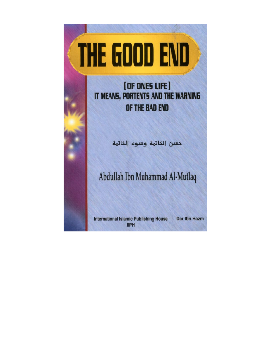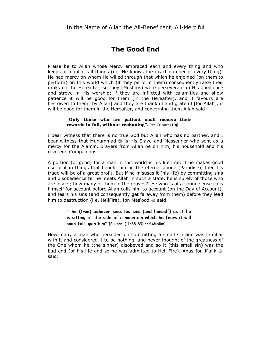# **The Good End**

Praise be to Allah whose Mercy embraced each and every thing and who keeps account of all things (i.e. He knows the exact number of every thing). He had mercy on whom He willed through that which he enjoined (on them to perform) on this world which (if they perform them) consequently raise their ranks on the Hereafter, so they (Muslims) were perseverant in His obedience and strove in His worship; if they are inflicted with calamities and show patience it will be good for them (in the Hereafter), and if favours are bestowed to them [by Allah] and they are thankful and grateful [for Allah], it will be good for them in the Hereafter, and concerning them Allah said:

#### **"Only those who are patient shall receive their rewards in full, without reckoning".** [Az-Zumar (10)]

I bear witness that there is no true God but Allah who has no partner, and I bear witness that Muhammad 1 is His Slave and Messenger who sent as a mercy for the Alamin, prayers from Allah be on him, his household and his reverend Companions.

A portion (of good) for a man in this world is his lifetime; if he makes good use of it in things that benefit him in the eternal abode (Paradise), then his trade will be of a great profit. But if he misuses it (his life) by committing sins and disobedience till he meets Allah in such a state, he is surely of those who are losers; how many of them in the graves?! He who is of a sound sense calls himself for account before Allah calls him to account (on the Day of Account), and fears his sins (and consequently get faraway from them) before they lead him to destruction (i.e. HellFire). Ibn Mas'ood  $\text{ }$  said:

## **"The (true) believer sees his sins (and himself) as if he is sitting at the side of a mountain which he fears it will soon fall upon him"** [Bukhari (11/88-89) and Muslim]

How many a man who persisted on committing a small sin and was familiar with it and considered it to be nothing, and never thought of the greatness of the One whom he (the sinner) disobeyed and so it (this small sin) was the bad end (of his life and so he was admitted to Hell-Fire). Anas Ibn Malik  $\clubsuit$ said: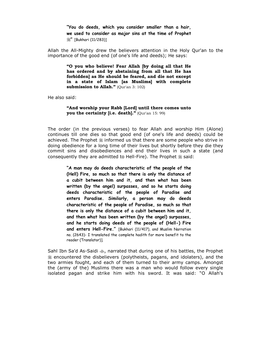**"You do deeds, which you consider smaller than a hair, we used to consider as major sins at the time of Prophet**  *1* [Bukhari (11/283)]

Allah the All-Mighty drew the believers attention in the Holy Qur'an to the importance of the good end (of one's life and deeds); He says:

> **"O you who believe! Fear Allah [by doing all that He has ordered and by abstaining from all that He has forbidden] as He should be feared, and die not except in a state of Islam [as Muslims] with complete submission to Allah."** (Qur'an 3: 102)

He also said:

#### **"And worship your Rabb [Lord] until there comes unto you the certainty [i.e. death]."** (Qur'an 15: 99)

The order (in the previous verses) to fear Allah and worship Him (Alone) continues till one dies so that good end (of one's life and deeds) could be achieved. The Prophet  $*$  informed us that there are some people who strive in doing obedience for a long time of their lives but shortly before they die they commit sins and disobediences and end their lives in such a state (and consequently they are admitted to Hell-Fire). The Prophet  $\frac{16}{26}$  said:

> **"A man may do deeds characteristic of the people of the (Hell) Fire, so much so that there is only the distance of a cubit between him and it, and then what has been written (by the angel) surpasses, and so he starts doing deeds characteristic of the people of Paradise and enters Paradise. Similarly, a person may do deeds characteristic of the people of Paradise, so much so that there is only the distance of a cubit between him and it, and then what has been written (by the angel) surpasses, and he starts doing deeds of the people of (Hell-) Fire and enters Hell-Fire."** [Bukhari (11/417), and Muslim Narration no. (2643)- I translated the complete hadith for more benefit to the reader (Translator)].

Sahl Ibn Sa'd As-Saidi  $\clubsuit$ , narrated that during one of his battles, the Prophet  $*$  encountered the disbelievers (polytheists, pagans, and idolaters), and the two armies fought, and each of them turned to their army camps. Amongst the (army of the) Muslims there was a man who would follow every single isolated pagan and strike him with his sword. It was said: "O Allah's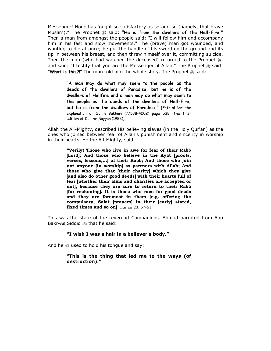Messenger! None has fought so satisfactory as so-and-so (namely, that brave Muslim)." The Prophet  $\frac{46}{36}$  said: "He is from the dwellers of the Hell-Fire." Then a man from amongst the people said: "I will follow him and accompany him in his fast and slow movements." The (brave) man got wounded, and wanting to die at once; he put the handle of his sword on the ground and its tip in between his breast, and then threw himself over it, committing suicide. Then the man (who had watched the deceased) returned to the Prophet  $\frac{4}{36}$ , and said: "I testify that you are the Messenger of Allah." The Prophet  $\frac{46}{26}$  said: "What is this?!" The man told him the whole story. The Prophet  $\frac{1}{2}$  said:

> **"A man may do what may seem to the people as the deeds of the dwellers of Paradise, but he is of the dwellers of Hellfire and a man may do what may seem to the people as the deeds of the dwellers of Hell-Fire, but he is from the dwellers of Paradise."** [Fath al Bari the explanation of Sahih Bukhari (7/538-4202) page 538. The first edition of Dar Ar-Rayyan (1988)].

Allah the All-Mighty, described His believing slaves (in the Holy Qur'an) as the ones who joined between fear of Allah's punishment and sincerity in worship in their hearts. He the All-Mighty, said:

> **"Verily! Those who live in awe for fear of their Rabb [Lord]; And those who believe in the Ayat [proofs, verses, lessons,...] of their Rabb; And those who join not anyone [in worship] as partners with Allah; And those who give that [their charity] which they give [and also do other good deeds] with their hearts full of fear [whether their alms and charities are accepted or not], because they are sure to return to their Rabb [for reckoning]. It is those who race for good deeds and they are foremost in them [e.g. offering the compulsory, Salat [prayers] in their [early] stated, fixed times and so on**] (Qur'an 23: 57-61).

This was the state of the reverend Companions. Ahmad narrated from Abu Bakr-As, Siddiq  $\ddot{\text{W}}$  that he said:

#### **"I wish I was a hair in a believer's body."**

And he  $\triangleq$  used to hold his tongue and say:

**"This is the thing that led me to the ways (of destruction)."**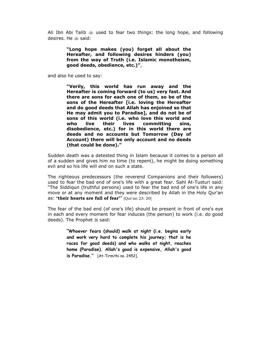Ali Ibn Abi Talib  $\gg$  used to fear two things: the long hope, and following desires. He  $\gg$  said:

> **"Long hope makes (you) forget all about the Hereafter, and following desires hinders (you) from the way of Truth (i.e. Islamic monotheism, good deeds, obedience, etc.)"**,

and also he used to say:

**"Verily, this world has run away and the Hereafter is coming forward (to us) very fast. And there are sons for each one of them, so be of the sons of the Hereafter [i.e. loving the Hereafter and do good deeds that Allah has enjoined so that He may admit you to Paradise], and do not be of sons of this world (i.e. who love this world and who live their lives committing sins, disobedience, etc.) for in this world there are deeds and no accounts but Tomorrow (Day of Account) there will be only account and no deeds (that could be done)."** 

Sudden death was a detested thing in Islam because it comes to a person all of a sudden and gives him no time (to repent), he might be doing something evil and so his life will end on such a state.

The righteous predecessors (the reverend Companions and their followers) used to fear the bad end of one's life with a great fear. Sahl At-Tusturi said: "The Siddiqun (truthful persons) used to fear the bad end of one's life in any move or at any moment and they were described by Allah in the Holy Qur'an as: **'their hearts are full of fear'**" [Qur'an 23: 20]

The fear of the bad end (of one's life) should be present in front of one's eye in each and every moment for fear induces (the person) to work (i.e. do good deeds). The Prophet 1 said:

> **"Whoever fears (should) walk at night (i.e. begins early and work very hard to complete his journey; that is he races for good deeds) and who walks at night, reaches home (Paradise). Allah's good is expensive, Allah's good is Paradise."** [At-Tirmithi no. 2452].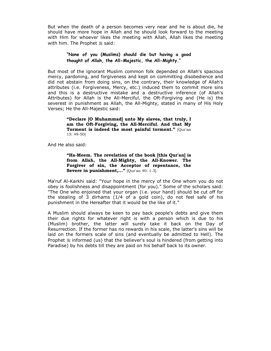But when the death of a person becomes very near and he is about die, he should have more hope in Allah and he should look forward to the meeting with Him for whoever likes the meeting with Allah, Allah likes the meeting with him. The Prophet . said:

## **"None of you (Muslims) should die but having a good thought of Allah, the All-Majestic, the All-Mighty."**

But most of the ignorant Muslim common folk depended on Allah's spacious mercy, pardoning, and forgiveness and kept on committing disobedience and did not abstain from doing sins, on the contrary, their knowledge of Allah's attributes (i.e. Forgiveness, Mercy, etc.) induced them to commit more sins and this is a destructive mistake and a destructive inference (of Allah's Attributes) for Allah is the All-Merciful, the Oft-Forgiving and (He is) the severest in punishment as Allah, the All-Mighty, stated in many of His Holy Verses; He the All-Majestic said:

> **"Declare [O Muhammad] unto My slaves, that truly, I am the Oft-Forgiving, the All-Merciful. And that My Torment is indeed the most painful torment."** [Qur'an 15: 49-50]

And He also said:

**"Ha-Meem. The revelation of the book [this Qur'an] is from Allah, the All-Mighty, the All-Knower. The Forgiver of sin, the Acceptor of repentance, the Severe in punishment,..."** [Qur'an 40: 1-3].

Ma'ruf Al-Karkhi said: "Your hope in the mercy of the One whom you do not obey is foolishness and disappointment (for you)." Some of the scholars said: "The One who enjoined that your organ (i.e. your hand) should be cut off for the stealing of 3 dirhams (1/4 of a gold coin), do not feel safe of his punishment in the Hereafter that it would be the like of it."

A Muslim should always be keen to pay back people's debts and give them their due rights for whatever right is with a person which is due to his (Muslim) brother, the latter will surely take it back on the Day of Resurrection. If the former has no rewards in his scale, the latter's sins will be laid on the formers scale of sins (and eventually be admitted to Hell). The Prophet  $\frac{1}{2}$  informed (us) that the believer's soul is hindered (from getting into Paradise) by his debts till they are paid on his behalf back to its owner.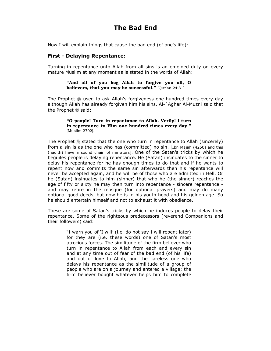# **The Bad End**

Now I will explain things that cause the bad end (of one's life):

## **First - Delaying Repentance:**

Turning in repentance unto Allah from all sins is an enjoined duty on every mature Muslim at any moment as is stated in the words of Allah:

#### **"And all of you beg Allah to forgive you all, O believers, that you may be successful."** [Qur'an 24:31].

The Prophet  $\frac{1}{20}$  used to ask Allah's forgiveness one hundred times every day although Allah has already forgiven him his sins. Al-`Aghar Al-Muzni said that the Prophet .said:

#### **"O people! Turn in repentance to Allah. Verily! I turn in repentance to Him one hundred times every day."**  [Muslim 2702].

The Prophet  $\frac{u}{d}$  stated that the one who turn in repentance to Allah (sincerely) from a sin is as the one who has (committed) no sin. [Ibn Majah (4250) and this (hadith) have a sound chain of narrators]. One of the Satan's tricks by which he beguiles people is delaying repentance. He (Satan) insinuates to the sinner to delay his repentance for he has enough times to do that and if he wants to repent now and commits the same sin afterwards then his repentance will never be accepted again, and he will be of those who are admitted in Hell. Or he (Satan) insinuates to him (sinner) that who he (the sinner) reaches the age of fifty or sixty he may then turn into repentance - sincere repentance and may retire in the mosque (for optional prayers) and may do many optional good deeds, but now he is in his youth hood and his golden age. So he should entertain himself and not to exhaust it with obedience.

These are some of Satan's tricks by which he induces people to delay their repentance. Some of the righteous predecessors (reverend Companions and their followers) said:

> "I warn you of 'I will' (i.e. do not say I will repent later) for they are (i.e. these words) one of Satan's most atrocious forces. The similitude of the firm believer who turn in repentance to Allah from each and every sin and at any time out of fear of the bad end (of his life) and out of love to Allah, and the careless one who delays his repentance as the similitude of a group of people who are on a journey and entered a village; the firm believer bought whatever helps him to complete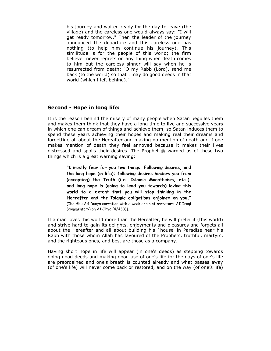his journey and waited ready for the day to leave (the village) and the careless one would always say: "I will get ready tomorrow." Then the leader of the journey announced the departure and this careless one has nothing (to help him continue his journey). This similitude is for the people of this world; the firm believer never regrets on any thing when death comes to him but the careless sinner will say when he is resurrected from death: "O my Rabb (Lord), send me back (to the world) so that I may do good deeds in that world (which I left behind)."

## **Second - Hope in long life:**

It is the reason behind the misery of many people when Satan beguiles them and makes them think that they have a long time to live and successive years in which one can dream of things and achieve them, so Satan induces them to spend these years achieving their hopes and making real their dreams and forgetting all about the Hereafter and making no mention of death and if one makes mention of death they feel annoyed because it makes their lives distressed and spoils their desires. The Prophet  $*$  warned us of these two things which is a great warning saying:

> **"I mostly fear for you two things: Following desires, and the long hope (in life); following desires hinders you from (accepting) the Truth (i.e. Islamic Monotheism, etc.), and long hope is (going to lead you towards) loving this world to a extent that you will stop thinking in the Hereafter and the Islamic obligations enjoined on you."**  [Ibn Abu Ad-Dunya narration with a weak chain of narrators. AI-Iraqi (commentary) on AI-Ihya (4/433)].

If a man loves this world more than the Hereafter, he will prefer it (this world) and strive hard to gain its delights, enjoyments and pleasures and forgets all about the Hereafter and all about building his `house' in Paradise near his Rabb with those whom Allah has favoured of the Prophets, truthful, martyrs, and the righteous ones, and best are those as a company.

Having short hope in life will appear (in one's deeds) as stepping towards doing good deeds and making good use of one's life for the days of one's life are preordained and one's breath is counted already and what passes away (of one's life) will never come back or restored, and on the way (of one's life)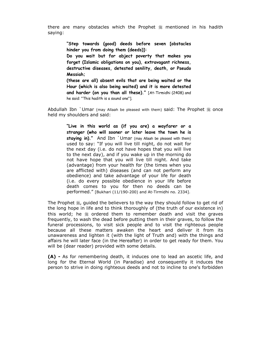there are many obstacles which the Prophet  $\frac{1}{2}$  mentioned in his hadith saying:

> **"Step towards (good) deeds before seven [obstacles hinder you from doing them (deeds)]:**

> **Do you wait but for abject poverty that makes you forget (Islamic obligations on you), extravagant richness, destructive diseases, detested senility, death, or Pseudo Messiah;**

> **(these are all) absent evils that are being waited or the Hour (which is also being waited) and it is more detested and harder (on you than all these)."** [At-Tirmidhi (2408) and he said: "This hadith is a sound one"].

Abdullah Ibn `Umar (may Allaah be pleased with them) said: The Prophet  $\frac{46}{26}$  once held my shoulders and said:

> **"Live in this world as (if you are) a wayfarer or a stranger (who will sooner or later leave the town he is staying in)."** And Ibn `Umar (may Allaah be pleased with them) used to say: "If you will live till night, do not wait for the next day (i.e. do not have hopes that you will live to the next day), and if you wake up in the morning do not have hope that you will live till night. And take (advantage) from your health for (the times when you are afflicted with) diseases (and can not perform any obedience) and take advantage of your life for death (i.e. do every possible obedience in your life before death comes to you for then no deeds can be performed." [Bukhari (11/190-200) and At-Tirmidhi no. 2334].

The Prophet  $\frac{16}{26}$ , guided the believers to the way they should follow to get rid of the long hope in life and to think thoroughly of (the truth of our existence in) this world; he  $\frac{1}{2}$  ordered them to remember death and visit the graves frequently, to wash the dead before putting them in their graves, to follow the funeral processions, to visit sick people and to visit the righteous people because all these matters awaken the heart and deliver it from its unawareness and lighten it (with the light of Truth and) with the things and affairs he will later face (in the Hereafter) in order to get ready for them. You will be (dear reader) provided with some details.

**(A) -** As for remembering death, it induces one to lead an ascetic life, and long for the Eternal World (in Paradise) and consequently it induces the person to strive in doing righteous deeds and not to incline to one's forbidden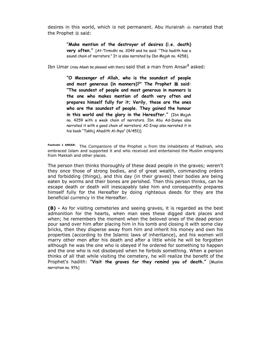desires in this world, which is not permanent. Abu Hurairah  $\text{d}$  narrated that the Prophet  $*$  said:

> **"Make mention of the destroyer of desires (i.e. death) very often."** [At-Tirmidhi no. 2049 and he said: "This hadith has a sound chain of narrators." It is also narrated by Ibn Majah no. 4258].

Ibn Umar (may Allaah be pleased with them) said that a man from Ansar**<sup>1</sup>** asked:

**"O Messenger of Allah, who is the soundest of people and most generous (in manners)?" The Prophet**  $\frac{1}{2}$  **said: "The soundest of people and most generous in manners is the one who makes mention of death very often and prepares himself fully for it; Verily, these are the ones who are the soundest of people. They gained the honour in this world and the glory in the Hereafter."** [Ibn Majah no. 4259 with a weak chain of narrators. Ibn Abu Ad-Dunya also narrated it with a good chain of narrators; AI-Iraqi also narrated it in his book "Takhij Ahadith Al-lhya" (4/451)].

Footnote 1 ANSAR: The Companions of the Prophet  $*$  from the inhabitants of Madinah, who embraced Islam and supported it and who received and entertained the Muslim emigrants from Makkah and other places.

The person then thinks thoroughly of these dead people in the graves; weren't they once those of strong bodies, and of great wealth, commanding orders and forbidding (things), and this day (in their graves) their bodies are being eaten by worms and their bones are perished. Then this person thinks, can he escape death or death will inescapably take him and consequently prepares himself fully for the Hereafter by doing righteous deeds for they are the beneficial currency in the Hereafter.

**(B) -** As for visiting cemeteries and seeing graves, it is regarded as the best admonition for the hearts, when man sees these digged dark places and when; he remembers the moment when the beloved ones of the dead person pour sand over him after placing him in his tomb and closing it with some clay bricks, then they disperse away from him and inherit his money and own his properties (according to the Islamic laws of inheritance), and his women will marry other men after his death and after a little while he will be forgotten although he was the one who is obeyed if he ordered for something to happen and the one who is not disobeyed when he forbids something. When a person thinks of all that while visiting the cemetery, he will realize the benefit of the Prophet's hadith: **"Visit the graves for they remind you of death."** [Muslim narration no. 976]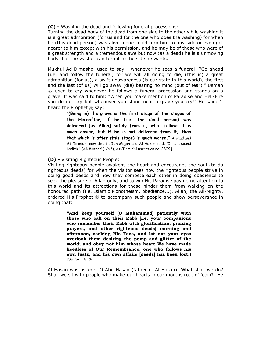**(C) -** Washing the dead and following funeral processions:

Turning the dead body of the dead from one side to the other while washing it is a great admonition (for us and for the one who does the washing) for when he (this dead person) was alive, none could turn him to any side or even get nearer to him except with his permission, and he may be of those who were of a great strength and a tremendous awe but now (as a dead) he is a unmoving body that the washer can turn it to the side he wants.

Mukhul Ad-Dimashqi used to say - whenever he sees a funeral: "Go ahead (i.e. and follow the funeral) for we will all going to die, (this is) a great admonition (for us), a swift unawareness (is our state in this world), the first and the last (of us) will go away (die) bearing no mind (out of fear)." Usman W used to cry whenever he follows a funeral procession and stands on a grave. It was said to him: "When you make mention of Paradise and Hell-Fire you do not cry but whenever you stand near a grave you cry!" He said: 'I heard the Prophet  $\frac{1}{26}$  say:

> **"(Being in) the grave is the first stage of the stages of the Hereafter, if he (i.e. the dead person) was delivered [by Allah] safely from it, what follows it is much easier, but if he is not delivered from it, then that which is after (this stage) is much worse."** Ahmad and At-Tirmidhi narrated it. Ibn Majah and Al-Hakim said: "It is a sound hadith." [Al-Musnad (1/63), At-Tirmidhi narration no. 2309]

**(D) -** Visiting Righteous People:

Visiting righteous people awakens the heart and encourages the soul (to do righteous deeds) for when the visitor sees how the righteous people strive in doing good deeds and how they compete each other in doing obedience to seek the pleasure of Allah only, and to win His Paradise paying no attention to this world and its attractions for these hinder them from walking on the honoured path (i.e. Islamic Monotheism, obedience...). Allah, the All-Mighty, ordered His Prophet  $*$  to accompany such people and show perseverance in doing that:

> **"And keep yourself [O Muhammad] patiently with those who call on their Rabb [i.e. your companions who remember their Rabb with glorification, praising prayers, and other righteous deeds] morning and afternoon, seeking His Face, and let not your eyes overlook them desiring the pomp and glitter of the world; and obey not him whose heart We have made heedless of Our Remembrance, one who follows his own lusts, and his own affairs [deeds] has been lost.)**  [Qur'an 18:28].

Al-Hasan was asked: "O Abu Hasan (father of Al-Hasan)! What shall we do? Shall we sit with people who make-our hearts in our mouths (out of fear)?" He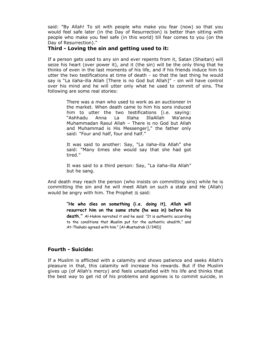said: "By Allah! To sit with people who make you fear (now) so that you would feel safe later (in the Day of Resurrection) is better than sitting with people who make you feel safe (in this world) till fear comes to you (on the Day of Resurrection)."

## **Third - Loving the sin and getting used to it:**

If a person gets used to any sin and ever repents from it, Satan (Shaitan) will seize his heart (over power it), and it (the sin) will be the only thing that he thinks of even in the last moments of his life, and if his friends induce him to utter the two testifications at time of death - so that the last thing he would say is "La ilaha-illa Allah [There is no God but Allah]" - sin will have control over his mind and he will utter only what he used to commit of sins. The following are some real stories:

> There was a man who used to work as an auctioneer in the market. When death came to him his sons induced him to utter the two testifications [i.e. saying: "Ashhadu Anna La lllaha IllaAllah Wa'anna Muhammadan Rasul Allah – There is no God but Allah and Muhammad is His Messenger]," the father only said: "Four and half, four and half."

> It was said to another: Say, "La ilaha-illa Allah" she said: "Many times she would say that she had got tired."

> It was said to a third person: Say, "La ilaha-illa Allah" but he sang.

And death may reach the person (who insists on committing sins) while he is committing the sin and he will meet Allah on such a state and He (Allah) would be angry with him. The Prophet  $*$  said:

> **"He who dies on something (i.e. doing it), Allah will resurrect him on the same state (he was in) before his death."** Al-Hakim narrated it and he said: "It is authentic according to the conditions that Muslim put for the authentic ahadith," and At-Thahabi agreed with him." [Al-Mustadrak (1/340)]

## **Fourth - Suicide:**

If a Muslim is afflicted with a calamity and shows patience and seeks Allah's pleasure in that, this calamity will increase his rewards. But if the Muslim gives up (of Allah's mercy) and feels unsatisfied with his life and thinks that the best way to get rid of his problems and agonies is to commit suicide, in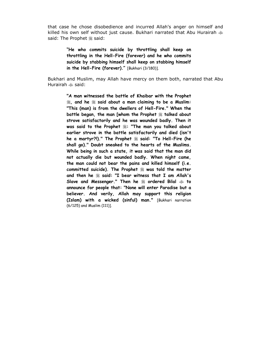that case he chose disobedience and incurred Allah's anger on himself and killed his own self without just cause. Bukhari narrated that Abu Hurairah  $\clubsuit$ said: The Prophet : said:

> **"He who commits suicide by throttling shall keep on throttling in the Hell-Fire (forever) and he who commits suicide by stabbing himself shall keep on stabbing himself in the Hell-Fire (forever)."** [Bukhari (3/180)].

Bukhari and Muslim, may Allah have mercy on them both, narrated that Abu Hurairah  $\ddot{\text{ }}$ said:

> **"A man witnessed the battle of Khaibar with the Prophet**   $\ddot{\mathcal{Z}}$ , and he  $\ddot{\mathcal{Z}}$  said about a man claiming to be a Muslim: **"This (man) is from the dwellers of Hell-Fire." When the battle began, the man [whom the Prophet**  $\frac{100}{20}$  **talked about strove satisfactorily and he was wounded badly. Then it**  was said to the Prophet  $\frac{u}{2}$ : "The man you talked about **earlier strove in the battle satisfactorily and died (isn't he a martyr?!)." The Prophet**  $\frac{u}{dS}$  **said: "To Hell-Fire (he shall go)." Doubt sneaked to the hearts of the Muslims. While being in such a state, it was said that the man did not actually die but wounded badly. When night came, the man could not bear the pains and killed himself (i.e.**  committed suicide). The Prophet  $\frac{100}{20}$  was told the matter and then he  $\ddot{\mathcal{L}}$  said: "I bear witness that I am Allah's **Slave and Messenger." Then he**  $\ddot{\text{g}}$  **ordered Bilal**  $\ddot{\text{g}}$  **to announce for people that: "None will enter Paradise but a believer. And verily, Allah may support this religion (Islam) with a wicked (sinful) man."** [Bukhari narration (6/125) and Muslim (111)].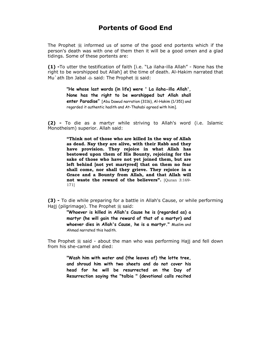## **Portents of Good End**

The Prophet  $\frac{1}{2}$  informed us of some of the good end portents which if the person's death was with one of them then it will be a good omen and a glad tidings. Some of these portents are:

**(1) -**To utter the testification of faith [i.e. "La ilaha-illa Allah" - None has the right to be worshipped but Allah] at the time of death. Al-Hakim narrated that Mu`ath Ibn Jabal  $\text{ }$  said: The Prophet  $\text{ }$  said:

> **"He whose last words (in life) were ' La ilaha-illa Allah', None has the right to be worshipped but Allah shall enter Paradise"** [Abu Dawud narration (3116), Al-Hakim (1/351) and regarded it authentic hadith and At-Thahabi agreed with him].

**(2) -** To die as a martyr while striving to Allah's word (i.e. Islamic Monotheism) superior. Allah said:

> **"Think not of those who are killed In the way of Allah as dead. Nay they are alive, with their Rabb and they have provision. They rejoice in what Allah has bestowed upon them of His Bounty, rejoicing for the sake of those who have not yet joined them, but are left behind [not yet martyred] that on them no fear shall come, nor shall they grieve. They rejoice in a Grace and a Bounty from Allah, and that Allah will not waste the reward of the believers".** [Quran 3:169- 171]

**(3) -** To die while preparing for a battle in Allah's Cause, or while performing Hajj (pilgrimage). The Prophet  $\frac{1}{26}$  said:

> **"Whoever is killed in Allah's Cause he is (regarded as) a martyr (he will gain the reward of that of a martyr) and whoever dies in Allah's Cause, he is a martyr."** Muslim and Ahmad narrated this hadith.

The Prophet  $\frac{1}{26}$  said - about the man who was performing Hajj and fell down from his she-camel and died:

> **"Wash him with water and (the leaves of) the lotte tree, and shroud him with two sheets and do not cover his head for he will be resurrected on the Day of Resurrection saying the "talbia " (devotional calls recited**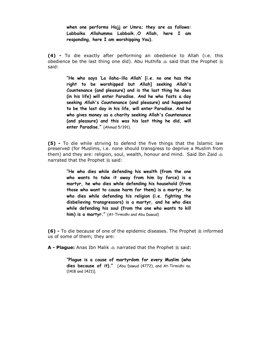**when one performs Hajj or Umra; they are as follows: Labbaika Allahumma Labbaik..O Allah, here I am responding, here I am worshipping You).** 

**(4) -** To die exactly after performing an obedience to Allah (i.e. this obedience be the last thing one did). Abu Huthifa  $\&$  said that the Prophet  $\&$ said:

> **"He who says 'La ilaha-illa Allah' [i.e. no one has the right to be worshipped but Allah] seeking Allah's Countenance (and pleasure) and is the last thing he does (in his life) will enter Paradise. And he who fasts a day seeking Allah's Countenance (and pleasure) and happened to be the last day in his life, will enter Paradise. And he who gives money as a charity seeking Allah's Countenance (and pleasure) and this was his lost thing he did, will enter Paradise."** (Ahmad 5/391).

**(5) -** To die while striving to defend the five things that the Islamic law preserved (for Muslims, i.e. none should transgress to deprive a Muslim from them) and they are: religion, soul, wealth, honour and mind. Said Ibn Zaid  $\text{d}$ narrated that the Prophet  $*$  said:

> **"He who dies while defending his wealth (from the one who wants to take it away from him by force) is a martyr, he who dies while defending his household (from those who want to cause harm for them) is a martyr, he who dies while defending his religion (i.e. fighting the disbelieving transgressors) is a martyr, and he who dies while defending his soul (from the one who wants to kill him) is a martyr."** (At-Tirmidhi and Abu Dawud)

**(6)** - To die because of one of the epidemic diseases. The Prophet  $\frac{1}{20}$  informed us of some of them; they are:

**A - Plague:** Anas Ibn Malik  $\triangleq$  narrated that the Prophet  $\triangleq$  said:

**"Plague is a cause of martyrdom for every Muslim (who dies because of it)."** [Abu Dawud (4772), and At-Tirmidhi no. (1418 and 1421)].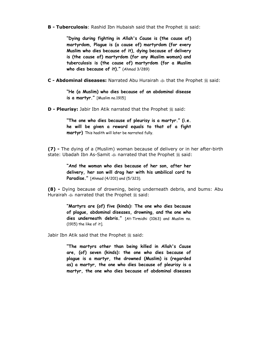**B - Tuberculosis**: Rashid Ibn Hubaish said that the Prophet  $\frac{46}{26}$  said:

**"Dying during fighting in Allah's Cause is (the cause of) martyrdom, Plague is (a cause of) martyrdom (for every Muslim who dies because of it), dying because of delivery is (the cause of) martyrdom (for any Muslim woman) and tuberculosis is (the cause of) martyrdom (for a Muslim who dies because of it)."** (Ahmad 3/289)

**C - Abdominal diseases:** Narrated Abu Hurairah  $\ddot{\text{w}}$  that the Prophet  $\ddot{\text{w}}$  said:

**"He (a Muslim) who dies because of an abdominal disease is a martyr."** [Muslim no.1915]

**D - Pleurisy:** Jabir Ibn Atik narrated that the Prophet  $\ddot{\text{m}}$  said:

**"The one who dies because of pleurisy is a martyr." (i.e. he will be given a reward equals to that of a fight martyr)** This hadith will later be narrated fully.

**(7) -** The dying of a (Muslim) woman because of delivery or in her after-birth state: Ubadah Ibn As-Samit  $\text{L}$  narrated that the Prophet  $\text{L}$  said:

> **"And the woman who dies because of her son, after her delivery, her son will drag her with his umbilical cord to Paradise."** [Ahmad (4/201) and (5/323).

**(8) -** Dying because of drowning, being underneath debris, and bums: Abu Hurairah  $\triangleq$  narrated that the Prophet  $\triangleq$  said:

> **"Martyrs are (of) five (kinds): The one who dies because of plague, abdominal diseases, drowning, and the one who dies underneath debris."** [At-Tirmidhi (1063) and Muslim no. (1915) the like of it].

Jabir Ibn Atik said that the Prophet . said:

**"The martyrs other than being killed in Allah's Cause are, (of) seven (kinds): the one who dies because of plague is a martyr, the drowned (Muslim) is (regarded as) a martyr, the one who dies because of pleurisy is a martyr, the one who dies because of abdominal diseases**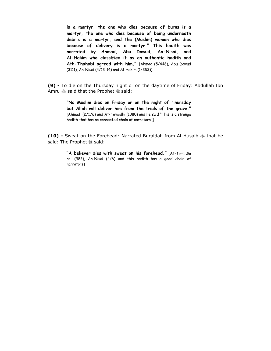**is a martyr, the one who dies because of burns is a martyr, the one who dies because of being underneath debris is a martyr, and the (Muslim) woman who dies because of delivery is a martyr." This hadith was narrated by Ahmad, Abu Dawud, An-Nisai, and Al-Hakim who classified it as an authentic hadith and Ath-Thahabi agreed with him."** [Ahmad (5/446), Abu Dawud (3111), An-Nisai (4/13-14) and Al-Hakim (1/352)].

**(9) -** To die on the Thursday night or on the daytime of Friday: Abdullah Ibn Amru  $\triangleq$  said that the Prophet  $\triangleq$  said:

> **"No Muslim dies on Friday or on the night of Thursday but Allah will deliver him from the trials of the grave."**  [Ahmad (2/176) and At-Tirmidhi (1080) and he said "This is a strange hadith that has no connected chain of narrators"]

10) - Sweat on the Forehead: Narrated Buraidah from Al-Husaib  $\text{d}$  that he said: The Prophet : said:

> **"A believer dies with sweat on his forehead."** [At-Tirmidhi no. (982), An-Nisai (4/6) and this hadith has a good chain of narrators]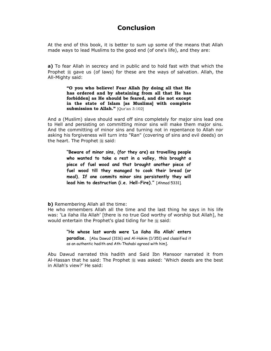## **Conclusion**

At the end of this book, it is better to sum up some of the means that Allah made ways to lead Muslims to the good end (of one's life), and they are:

**a)** To fear Allah in secrecy and in public and to hold fast with that which the Prophet  $\frac{1}{28}$  gave us (of laws) for these are the ways of salvation. Allah, the All-Mighty said:

> **"O you who believe! Fear Allah [by doing all that He has ordered and by abstaining from all that He has forbidden] as He should be feared, and die not except in the state of Islam [as Muslims] with complete submission to Allah."** [Qur'an 3:102]

And a (Muslim) slave should ward off sins completely for major sins lead one to Hell and persisting on committing minor sins will make them major sins. And the committing of minor sins and turning not in repentance to Allah nor asking his forgiveness will turn into "Ran" (covering of sins and evil deeds) on the heart. The Prophet  $\frac{16}{26}$  said:

> **"Beware of minor sins, (for they are) as travelling people who wanted to take a rest in a valley, this brought a piece of fuel wood and that brought another piece of fuel wood till they managed to cook their bread (or meal). If one commits minor sins persistently they will lead him to destruction (i.e. Hell-Fire)."** [Ahmad 5331].

**b)** Remembering Allah all the time:

He who remembers Allah all the time and the last thing he says in his life was: 'La ilaha illa Allah' [there is no true God worthy of worship but Allah], he would entertain the Prophet's glad tiding for he  $*$  said:

> **"He whose last words were 'La ilaha illa Allah' enters paradise.** [Abu Dawud (3116) and Al-Hakim (1/351) and classified it as an authentic hadith and Ath-Thahabi agreed with him].

Abu Dawud narrated this hadith and Said Ibn Mansoor narrated it from Al-Hassan that he said: The Prophet \* was asked: 'Which deeds are the best in Allah's view?' He said: